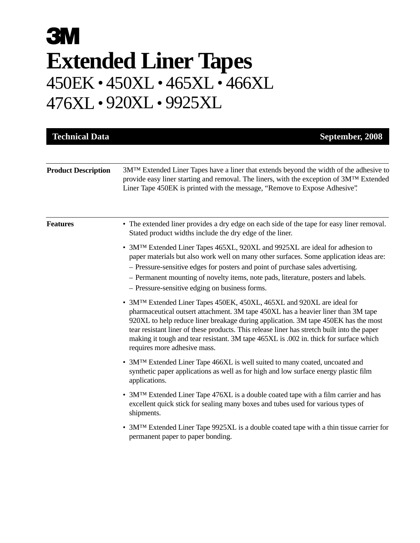# **3M Extended Liner Tapes** 450EK • 450XL • 465XL • 466XL 476XL • 920XL • 9925XL

| <b>Technical Data</b>      | September, 2008                                                                                                                                                                                                                                                                                                                                                                                                                                                            |
|----------------------------|----------------------------------------------------------------------------------------------------------------------------------------------------------------------------------------------------------------------------------------------------------------------------------------------------------------------------------------------------------------------------------------------------------------------------------------------------------------------------|
| <b>Product Description</b> | 3M <sup>TM</sup> Extended Liner Tapes have a liner that extends beyond the width of the adhesive to<br>provide easy liner starting and removal. The liners, with the exception of 3MTM Extended<br>Liner Tape 450EK is printed with the message, "Remove to Expose Adhesive".                                                                                                                                                                                              |
| <b>Features</b>            | • The extended liner provides a dry edge on each side of the tape for easy liner removal.<br>Stated product widths include the dry edge of the liner.                                                                                                                                                                                                                                                                                                                      |
|                            | • 3M <sup>TM</sup> Extended Liner Tapes 465XL, 920XL and 9925XL are ideal for adhesion to<br>paper materials but also work well on many other surfaces. Some application ideas are:<br>- Pressure-sensitive edges for posters and point of purchase sales advertising.<br>- Permanent mounting of novelty items, note pads, literature, posters and labels.<br>- Pressure-sensitive edging on business forms.                                                              |
|                            | • 3MTM Extended Liner Tapes 450EK, 450XL, 465XL and 920XL are ideal for<br>pharmaceutical outsert attachment. 3M tape 450XL has a heavier liner than 3M tape<br>920XL to help reduce liner breakage during application. 3M tape 450EK has the most<br>tear resistant liner of these products. This release liner has stretch built into the paper<br>making it tough and tear resistant. 3M tape 465XL is .002 in. thick for surface which<br>requires more adhesive mass. |
|                            | • 3MTM Extended Liner Tape 466XL is well suited to many coated, uncoated and<br>synthetic paper applications as well as for high and low surface energy plastic film<br>applications.                                                                                                                                                                                                                                                                                      |
|                            | • 3MTM Extended Liner Tape 476XL is a double coated tape with a film carrier and has<br>excellent quick stick for sealing many boxes and tubes used for various types of<br>shipments.                                                                                                                                                                                                                                                                                     |
|                            | • 3M <sup>TM</sup> Extended Liner Tape 9925XL is a double coated tape with a thin tissue carrier for<br>permanent paper to paper bonding.                                                                                                                                                                                                                                                                                                                                  |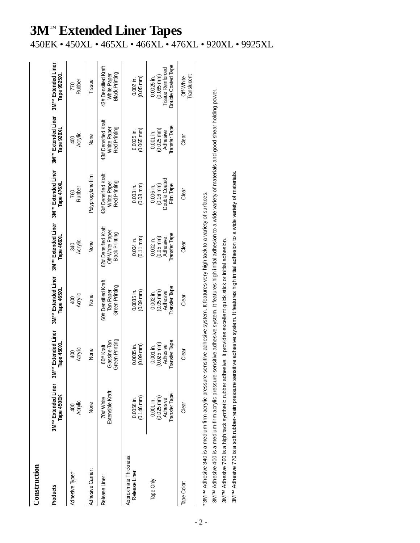## Construction **Construction**

| Products                                | 3M <sup>TM</sup> Extended Liner<br>Tape 450EK                    | 3M <sup>TM</sup> Extended Liner<br>Tape 450XI                      | 3M <sup>TM</sup> Extended Liner<br>Tape 465XI                          | 3M <sup>TM</sup> Extended Liner<br>Tape 466XI                            | 3M <sup>TM</sup> Extended Liner<br>Tape 476XI                    | 3M <sup>TM</sup> Extended Liner<br>Tape 920XI                    | 3M <sup>TM</sup> Extended Liner<br>Tape 9925XI                                         |
|-----------------------------------------|------------------------------------------------------------------|--------------------------------------------------------------------|------------------------------------------------------------------------|--------------------------------------------------------------------------|------------------------------------------------------------------|------------------------------------------------------------------|----------------------------------------------------------------------------------------|
| Adhesive Type:*                         | Acrylic<br>$\overline{400}$                                      | Acrylic<br>$rac{40}{5}$                                            | Acrylic<br>$\overline{6}$                                              | Acrylic<br>340                                                           | Rubber<br>760                                                    | Acrylic<br>$\frac{400}{2}$                                       | Rubber<br>770                                                                          |
| Adhesive Carrier:                       | None                                                             | None                                                               | None                                                                   | None                                                                     | Polypropylene film                                               | None                                                             | Tissue                                                                                 |
| Release Liner:                          | Extensible Kraft<br>70#White                                     | Green Printing<br>Glassine-Tan<br>60# Kraft                        | 60# Densified Kraft<br>Green Printing<br>Tan Paper                     | 62# Densified Kraft<br>Off-White Paper<br><b>Black Printing</b>          | 43# Densified Kraft<br>Red Printing<br>White Paper               | 43# Densified Kraft<br>Red Printing<br>White Paper               | 43# Densified Kraft<br><b>Black Printing</b><br>White Paper                            |
| Approximate Thickness:<br>Release Liner | $(0.146 \text{ mm})$<br>0.0056 in.                               | $(0.09 \, \text{mm})$<br>0.0035 in                                 | $(0.09 \text{ mm})$<br>$0.0035$ in.                                    | $(0.11 \, \text{mm})$<br>$0.004$ in                                      | $(0.08 \text{ mm})$<br>$0.003$ in.                               | $(0.065 \text{ mm})$<br>$0.0025$ in.                             | $(0.05 \text{ mm})$<br>$0.002$ in.                                                     |
| Tape Only                               | Transfer Tape<br>$(0.025 \text{ mm})$<br>Adhesive<br>$0.001$ in. | Transfer Tape<br>$(0.025 \, \text{mm})$<br>Adhesive<br>$0.001$ in. | <b>Transfer Tape</b><br>$(0.05 \text{ mm})$<br>Adhesive<br>$0.002$ in. | <b>Transfer Tape</b><br>Adhesive<br>$(0.05 \, \text{mm})$<br>$0.002$ in. | $(0.16 \text{ mm})$<br>Double Coated<br>Film Tape<br>$0.006$ in. | Transfer Tape<br>$(0.025 \text{ mm})$<br>Adhesive<br>$0.001$ in. | Double Coated Tape<br><b>Tissue Reinforced</b><br>$(0.065 \, \text{mm})$<br>0.0025 in. |
| Tape Color:                             | Clear                                                            | Clear                                                              | Clear                                                                  | Clear                                                                    | Clear                                                            | Clear                                                            | Translucent<br>Off-White                                                               |

3MT<sup>M</sup> Adhesive 400 is a medium-firm acrylic pressure-sensitive adhesive system. It features high initial adhesion to a wide variety of materials and good shear holding power. 3M™ Adhesive 400 is a medium-firm acrylic pressure-sensitive adhesive system. It features high initial adhesion to a wide variety of materials and good shear holding power.

3MT<sup>M</sup> Adhesive 760 is a high tack synthetic rubber adhesive. It provides excellent quick stick or initial adhesion. 3M™ Adhesive 760 is a high tack synthetic rubber adhesive. It provides excellent quick stick or initial adhesion.

3M<sup>TM</sup> Adhesive 770 is a soft rubber-resin pressure sensitive adhesive system. It features high initial adhesion to a wide variety of materials. 3M™ Adhesive 770 is a soft rubber-resin pressure sensitive adhesive system. It features high initial adhesion to a wide variety of materials.

#### | 『<br>| w

## **3M**™ **Extended Liner Tapes**

450EK • 450XL • 465XL • 466XL • 476XL • 920XL • 9925XL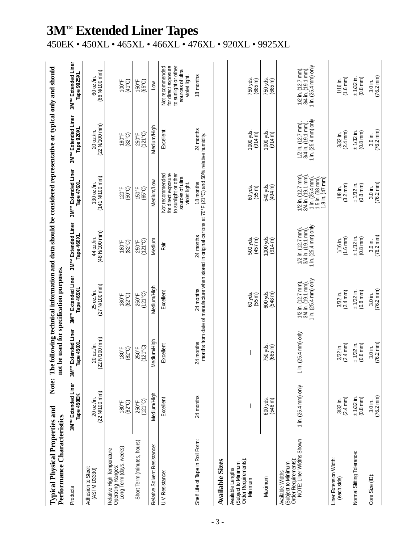| <b>Typical Physical Properties and</b><br>Performance Characteristics                              | Note:                                         | not b                                            | e used for specification purposes.                               |                                                                  | The following technical information and data should be considered representative or typical only and should                         |                                                                      |                                                                                                     |
|----------------------------------------------------------------------------------------------------|-----------------------------------------------|--------------------------------------------------|------------------------------------------------------------------|------------------------------------------------------------------|-------------------------------------------------------------------------------------------------------------------------------------|----------------------------------------------------------------------|-----------------------------------------------------------------------------------------------------|
| Products                                                                                           | 3M <sup>TM</sup> Extended Liner<br>Tape 450EK | 3M <sup>TM</sup> Extended Liner<br>pe 450XL<br>凸 | 3M <sup>TM</sup> Extended Liner<br>Tape 465XL                    | 3M <sup>TM</sup> Extended Liner<br>Tape 466XL                    | 3M <sup>TM</sup> Extended Liner<br>Tape 476XL                                                                                       | 3M <sup>TM</sup> Extended Liner<br>Tape 920XL                        | 3M <sup>TM</sup> Extended Liner<br>Tape 9925XL                                                      |
| Adhesion to Steel:<br>(ASTM D3330)                                                                 | 20 oz./in.<br>(22 N/100 mm)                   | N/100 mm)<br>20 oz./in.<br>(22)                  | 25 oz./in.<br>(27 N/100 mm)                                      | (48 N/100 mm)<br>44 oz./in.                                      | 130 oz./in.<br>(141 N/100 mm)                                                                                                       | 20 oz./in.<br>(22 N/100 mm)                                          | 66 N/100 mm)<br>60 oz./in.                                                                          |
| Operating Ranges:<br>Long Term (days, weeks)<br>Relative High Temperature                          | $(82^{\circ}C)$<br>180°F                      | 180°F<br>$(32^{\circ}\mathrm{C})$                | 180°F<br>$(82^{\circ}C)$                                         | $(82^{\circ}\mathrm{C})$<br>180°F                                | 120°F<br>(50°C)                                                                                                                     | $(82^{\circ}\mathrm{C})$<br>180°F                                    | 100°F<br>(41°C)                                                                                     |
| Short Term (minutes, hours)                                                                        | (121°C)<br>250°F                              | $(121^{\circ}C)$<br>250°F                        | $(121^{\circ}C)$<br>250°F                                        | (121°C)<br>250°F                                                 | 150°F<br>(65°C)                                                                                                                     | (121°C)<br>250°F                                                     | $(65^{\circ}C)$<br>150°F                                                                            |
| Relative Solvent Resistance:                                                                       | Medium/High                                   | Medium/High                                      | Medium/High                                                      | Medium                                                           | Medium/Low                                                                                                                          | Medium/High                                                          | $\overline{a}$                                                                                      |
| U.V. Resistance:                                                                                   | Excellent                                     | Excellent                                        | Excellent                                                        | in5⊒                                                             | Not recommended<br>for direct exposure<br>to sunlight or other<br>sources of ultra<br>violet light.                                 | Excellent                                                            | Not recommended<br>for direct exposure<br>to sunlight or other<br>sources of ultra<br>violet light. |
| Shelf Life of Tape in Roll Form:                                                                   | 24 months                                     | 24 months                                        | 24 months                                                        | 24 months                                                        | months from date of manufacture when stored in original cartons at 70°F (21°C) and 50% relative humidity.<br>18 months              | 24 months                                                            | 18 months                                                                                           |
| <b>Available Sizes</b>                                                                             |                                               |                                                  |                                                                  |                                                                  |                                                                                                                                     |                                                                      |                                                                                                     |
| (Subject to Minimum<br>Order Requirements):<br>Available Lengths<br>Minimum                        |                                               |                                                  | 60 yds.<br>$(55 \text{ m})$                                      | 500 yds.<br>$(457 \, m)$                                         | 60 yds.<br>$(55 \text{ m})$                                                                                                         | 1000 yds.<br>(914 m)                                                 | 750 yds.<br>$(685 \text{ m})$                                                                       |
| Maximum                                                                                            | 600 yds.<br>$(548 \, m)$                      | 750 yds.<br>$(685 \text{ m})$                    | 600 yds.<br>$(548 \text{ m})$                                    | 1000 yds.<br>(914 m)                                             | 540 yds.<br>(494 m)                                                                                                                 | 1000 yds.<br>(914 m)                                                 | 750 yds.<br>$(685 \text{ m})$                                                                       |
| Order Requirements):<br>NOTE: Liner Widths Shown<br>(Subject to Minimum<br><b>Available Widths</b> | 1 in. $(25.4 \text{ mm})$ only                | 1 in. $(25.4 \text{ mm})$ only                   | 1/2 in. (12.7 mm),<br>3/4 in. (19.1 mm),<br>1 in. (25.4 mm) only | 1/2 in. (12.7 mm),<br>3/4 in. (19.1 mm),<br>1 in. (25.4 mm) only | 1/2 in. (12.7 mm),<br>3/4 in. (19.1 mm),<br>1 in. $(25.4 \text{ mm})$ ,<br>1.5 in. $(38 \text{ mm})$ ,<br>1.8 in. $(47 \text{ mm})$ | 3/4 in. (19.1 mm),<br>1 in. (25.4 mm) only<br>$1/2$ in. $(12.7$ mm), | 1 in. $(25.4 \text{ mm})$ only<br>1/2 in. (12.7 mm),<br>3/4 in. (19.1 mm),                          |
| Liner Extension Width:<br>(each side)                                                              | 3/32 in.<br>(2.4 mm)                          | $(2.4 \, \text{mm})$<br>3/32 in.                 | $(2.4 \, \text{mm})$<br>3/32 in.                                 | $(1.6 \text{ mm})$<br>1/16 in.                                   | $(3.2 \text{ mm})$<br>1/8 in.                                                                                                       | $3/32$ in.<br>(2.4 mm)                                               | $(1.6 \text{ mm})$<br>1/16 in.                                                                      |
| Normal Slitting Tolerance:                                                                         | $\pm 1/32$ in.<br>(0.8 mm)                    | $±$ 1/32 in.<br>$(0.8$ mm $)$                    | $±$ 1/32 in.<br>$(0.8 \text{ mm})$                               | $±$ 1/32 in.<br>$(0.8 \text{ mm})$                               | $±$ 1/32 in.<br>$(0.8$ mm $)$                                                                                                       | $±$ 1/32 in.<br>$(0.8 \text{ mm})$                                   | $±$ 1/32 in.<br>$(0.8 \text{ mm})$                                                                  |
| Core Size (ID):                                                                                    | $3.0$ in.<br>(76.2 mm)                        | 76.2 mm)<br>$3.0$ in.                            | $(76.2 \text{ mm})$<br>$3.0$ in.                                 | $(76.2 \, \text{mm})$<br>$3.0$ in.                               | $(76.2 \text{ mm})$<br>$3.0$ in.                                                                                                    | 3.0 in.<br>(76.2 mm)                                                 | $3.0$ in.<br>(76.2 mm)                                                                              |

### **3M**™ **Extended Liner Tapes**

450EK • 450XL • 465XL • 466XL • 476XL • 920XL • 9925XL